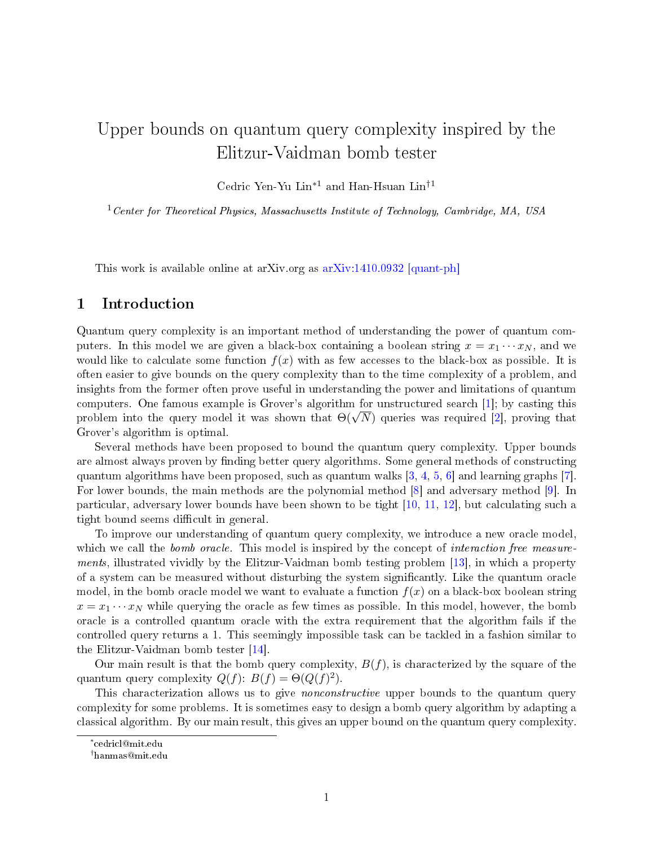# Upper bounds on quantum query complexity inspired by the Elitzur-Vaidman bomb tester

Cedric Yen-Yu Lin∗<sup>1</sup> and Han-Hsuan Lin†<sup>1</sup>

 $1$  Center for Theoretical Physics, Massachusetts Institute of Technology, Cambridge, MA, USA

This work is available online at arXiv.org as  $arXiv:1410.0932$  [quant-ph]

## 1 Introduction

Quantum query complexity is an important method of understanding the power of quantum computers. In this model we are given a black-box containing a boolean string  $x = x_1 \cdots x_N$ , and we would like to calculate some function  $f(x)$  with as few accesses to the black-box as possible. It is often easier to give bounds on the query complexity than to the time complexity of a problem, and insights from the former often prove useful in understanding the power and limitations of quantum computers. One famous example is Grover's algorithm for unstructured search [\[1\]](#page-2-0); by casting this computers. One ramous example is Grover's algorithm for unstructured search [1]; by casting this<br>problem into the query model it was shown that  $\Theta(\sqrt{N})$  queries was required [\[2\]](#page-2-1), proving that Grover's algorithm is optimal.

Several methods have been proposed to bound the quantum query complexity. Upper bounds are almost always proven by finding better query algorithms. Some general methods of constructing quantum algorithms have been proposed, such as quantum walks  $[3, 4, 5, 6]$  $[3, 4, 5, 6]$  $[3, 4, 5, 6]$  $[3, 4, 5, 6]$  $[3, 4, 5, 6]$  $[3, 4, 5, 6]$  $[3, 4, 5, 6]$  and learning graphs  $[7]$ . For lower bounds, the main methods are the polynomial method [\[8\]](#page-3-5) and adversary method [\[9\]](#page-3-6). In particular, adversary lower bounds have been shown to be tight [\[10,](#page-3-7) [11,](#page-3-8) [12\]](#page-3-9), but calculating such a tight bound seems difficult in general.

To improve our understanding of quantum query complexity, we introduce a new oracle model, which we call the *bomb* oracle. This model is inspired by the concept of *interaction free measure*-ments, illustrated vividly by the Elitzur-Vaidman bomb testing problem [\[13\]](#page-3-10), in which a property of a system can be measured without disturbing the system signicantly. Like the quantum oracle model, in the bomb oracle model we want to evaluate a function  $f(x)$  on a black-box boolean string  $x = x_1 \cdots x_N$  while querying the oracle as few times as possible. In this model, however, the bomb oracle is a controlled quantum oracle with the extra requirement that the algorithm fails if the controlled query returns a 1. This seemingly impossible task can be tackled in a fashion similar to the Elitzur-Vaidman bomb tester [\[14\]](#page-3-11).

Our main result is that the bomb query complexity,  $B(f)$ , is characterized by the square of the quantum query complexity  $Q(f)$ :  $B(f) = \Theta(Q(f)^2)$ .

This characterization allows us to give *nonconstructive* upper bounds to the quantum query complexity for some problems. It is sometimes easy to design a bomb query algorithm by adapting a classical algorithm. By our main result, this gives an upper bound on the quantum query complexity.

<sup>∗</sup> cedricl@mit.edu

<sup>†</sup>hanmas@mit.edu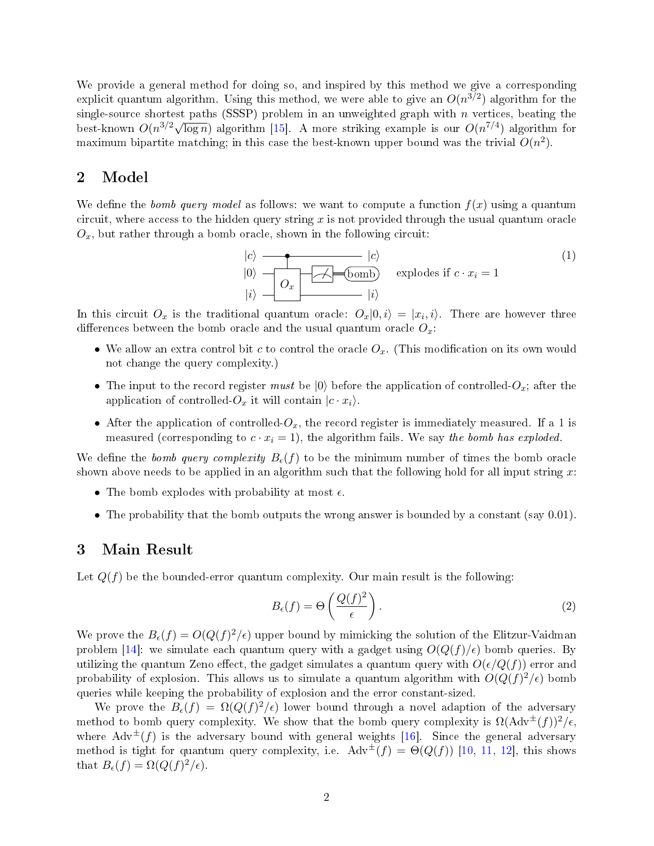We provide a general method for doing so, and inspired by this method we give a corresponding explicit quantum algorithm. Using this method, we were able to give an  $O(n^{3/2})$  algorithm for the single-source shortest paths (SSSP) problem in an unweighted graph with  $n$  vertices, beating the  $\frac{\text{m}}{\text{m}}$  best-known  $O(n^{3/2}\sqrt{\log n})$  algorithm [\[15\]](#page-3-12). A more striking example is our  $O(n^{7/4})$  algorithm for maximum bipartite matching; in this case the best-known upper bound was the trivial  $O(n^2)$ .

# 2 Model

We define the bomb query model as follows: we want to compute a function  $f(x)$  using a quantum circuit, where access to the hidden query string  $x$  is not provided through the usual quantum oracle  $O_x$ , but rather through a bomb oracle, shown in the following circuit:

$$
|c\rangle
$$
  
\n
$$
|0\rangle
$$
  
\n
$$
|0\rangle
$$
  
\n
$$
|0\rangle
$$
  
\n
$$
|0\rangle
$$
  
\n
$$
|0\rangle
$$
  
\n
$$
|0\rangle
$$
  
\n
$$
|0\rangle
$$
  
\n
$$
|0\rangle
$$
  
\n
$$
|1\rangle
$$
  
\n(1)  
\n
$$
|i\rangle
$$
  
\n
$$
|i\rangle
$$

In this circuit  $O_x$  is the traditional quantum oracle:  $O_x|0,i\rangle = |x_i,i\rangle$ . There are however three differences between the bomb oracle and the usual quantum oracle  $O_x$ .

- We allow an extra control bit c to control the oracle  $O_x$ . (This modification on its own would not change the query complexity.)
- The input to the record register must be  $|0\rangle$  before the application of controlled- $O_x$ ; after the application of controlled- $O_x$  it will contain  $|c \cdot x_i\rangle$ .
- After the application of controlled- $O_x$ , the record register is immediately measured. If a 1 is measured (corresponding to  $c \cdot x_i = 1$ ), the algorithm fails. We say the bomb has exploded.

We define the bomb query complexity  $B_{\epsilon}(f)$  to be the minimum number of times the bomb oracle shown above needs to be applied in an algorithm such that the following hold for all input string  $x$ :

- The bomb explodes with probability at most  $\epsilon$ .
- The probability that the bomb outputs the wrong answer is bounded by a constant (say 0.01).

#### 3 Main Result

Let  $Q(f)$  be the bounded-error quantum complexity. Our main result is the following:

$$
B_{\epsilon}(f) = \Theta\left(\frac{Q(f)^2}{\epsilon}\right). \tag{2}
$$

We prove the  $B_{\epsilon}(f) = O(Q(f)^2/\epsilon)$  upper bound by mimicking the solution of the Elitzur-Vaidman problem [\[14\]](#page-3-11): we simulate each quantum query with a gadget using  $O(Q(f)/\epsilon)$  bomb queries. By utilizing the quantum Zeno effect, the gadget simulates a quantum query with  $O(\epsilon/Q(f))$  error and probability of explosion. This allows us to simulate a quantum algorithm with  $O(Q(f)^2/\epsilon)$  bomb queries while keeping the probability of explosion and the error constant-sized.

We prove the  $B_{\epsilon}(f) = \Omega(Q(f)^2/\epsilon)$  lower bound through a novel adaption of the adversary method to bomb query complexity. We show that the bomb query complexity is  $\Omega(\text{Adv}^{\pm}(f))^2/\epsilon$ . where  $\text{Adv}^{\pm}(f)$  is the adversary bound with general weights [\[16\]](#page-3-13). Since the general adversary method is tight for quantum query complexity, i.e.  $\text{Adv}^{\pm}(f) = \Theta(Q(f))$  [\[10,](#page-3-7) [11,](#page-3-8) [12\]](#page-3-9), this shows that  $B_{\epsilon}(f) = \Omega(Q(f)^2/\epsilon)$ .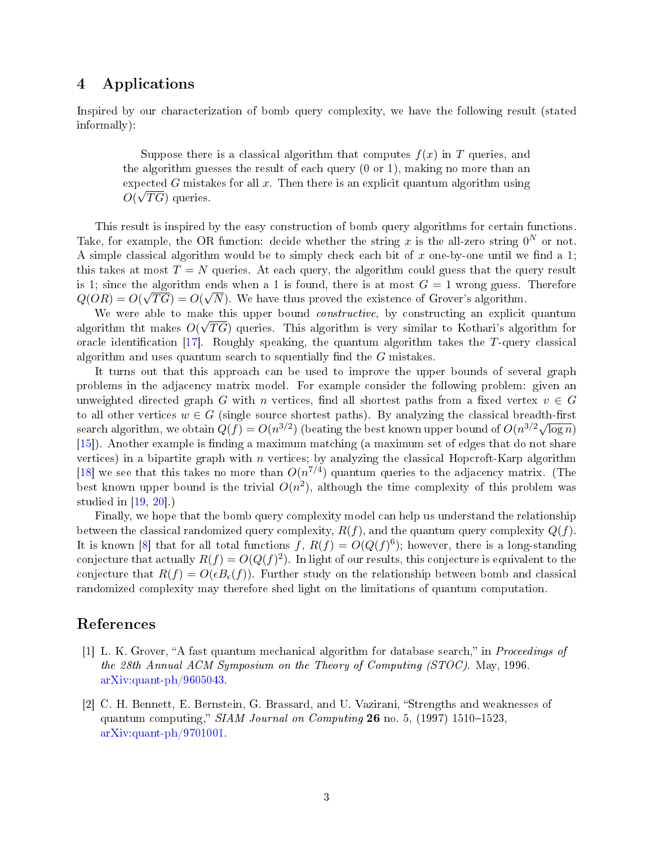# 4 Applications

Inspired by our characterization of bomb query complexity, we have the following result (stated informally):

Suppose there is a classical algorithm that computes  $f(x)$  in T queries, and the algorithm guesses the result of each query (0 or 1), making no more than an expected G mistakes for all x. Then there is an explicit quantum algorithm using  $O(\sqrt{T}G)$  queries.

This result is inspired by the easy construction of bomb query algorithms for certain functions. Take, for example, the OR function: decide whether the string x is the all-zero string  $0^N$  or not. A simple classical algorithm would be to simply check each bit of x one-by-one until we find a 1; this takes at most  $T = N$  queries. At each query, the algorithm could guess that the query result is 1; since the algorithm ends when a 1 is found, there is at most  $G = 1$  wrong guess. Therefore  $Q(OR) = O(\sqrt{TG}) = O(\sqrt{N})$ . We have thus proved the existence of Grover's algorithm.

We were able to make this upper bound *constructive*, by constructing an explicit quantum algorithm tht makes  $O(\sqrt{T}G)$  queries. This algorithm is very similar to Kothari's algorithm for oracle identification [\[17\]](#page-3-14). Roughly speaking, the quantum algorithm takes the T-query classical algorithm and uses quantum search to squentially find the  $G$  mistakes.

It turns out that this approach can be used to improve the upper bounds of several graph problems in the adjacency matrix model. For example consider the following problem: given an unweighted directed graph G with n vertices, find all shortest paths from a fixed vertex  $v \in G$ to all other vertices  $w \in G$  (single source shortest paths). By analyzing the classical breadth-first search algorithm, we obtain  $Q(f) = O(n^{3/2})$  (beating the best known upper bound of  $O(n^{3/2}\sqrt{\log n})$ )  $[15]$ ). Another example is finding a maximum matching (a maximum set of edges that do not share vertices) in a bipartite graph with  $n$  vertices; by analyzing the classical Hopcroft-Karp algorithm [\[18\]](#page-4-0) we see that this takes no more than  $O(n^{7/4})$  quantum queries to the adjacency matrix. (The best known upper bound is the trivial  $O(n^2)$ , although the time complexity of this problem was studied in [\[19,](#page-4-1) [20\]](#page-4-2).)

Finally, we hope that the bomb query complexity model can help us understand the relationship between the classical randomized query complexity,  $R(f)$ , and the quantum query complexity  $Q(f)$ . It is known [\[8\]](#page-3-5) that for all total functions  $f, R(f) = O(Q(f)^6)$ ; however, there is a long-standing conjecture that actually  $R(f) = O(Q(f)^2)$ . In light of our results, this conjecture is equivalent to the conjecture that  $R(f) = O(\epsilon B_{\epsilon}(f))$ . Further study on the relationship between bomb and classical randomized complexity may therefore shed light on the limitations of quantum computation.

## References

- <span id="page-2-0"></span>[1] L. K. Grover, "A fast quantum mechanical algorithm for database search," in *Proceedings of* the 28th Annual ACM Symposium on the Theory of Computing (STOC). May, 1996. [arXiv:quant-ph/9605043.](http://arxiv.org/abs/quant-ph/9605043)
- <span id="page-2-1"></span>[2] C. H. Bennett, E. Bernstein, G. Brassard, and U. Vazirani, "Strengths and weaknesses of quantum computing,"  $SIAM$  Journal on Computing 26 no. 5, (1997) 1510–1523, [arXiv:quant-ph/9701001.](http://arxiv.org/abs/quant-ph/9701001)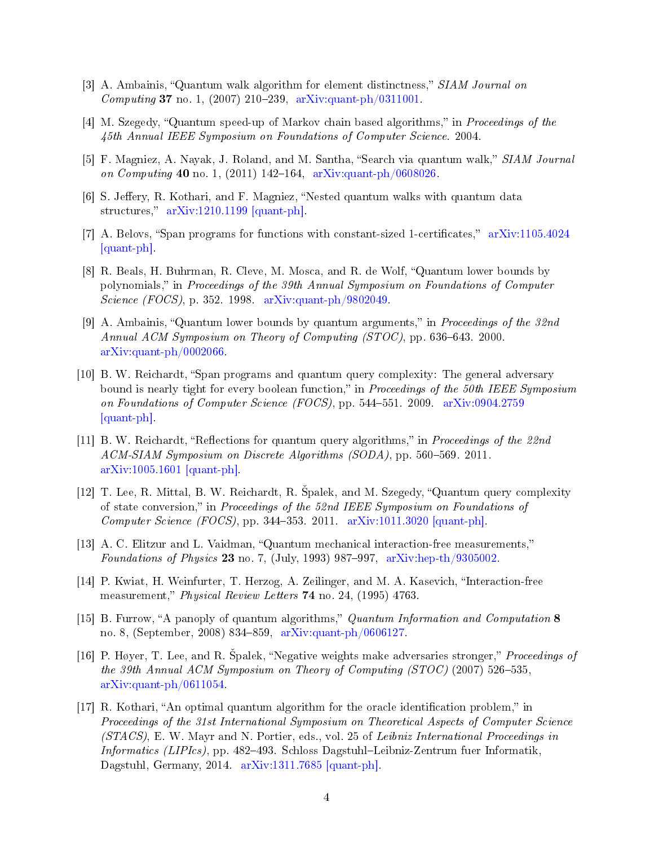- <span id="page-3-0"></span>[3] A. Ambainis, "Quantum walk algorithm for element distinctness," SIAM Journal on Computing 37 no. 1, (2007) 210–239, [arXiv:quant-ph/0311001.](http://arxiv.org/abs/quant-ph/0311001)
- <span id="page-3-1"></span>[4] M. Szegedy, "Quantum speed-up of Markov chain based algorithms," in *Proceedings of the* 45th Annual IEEE Symposium on Foundations of Computer Science. 2004.
- <span id="page-3-2"></span>[5] F. Magniez, A. Nayak, J. Roland, and M. Santha, "Search via quantum walk," SIAM Journal on Computing 40 no. 1, (2011) 142–164, [arXiv:quant-ph/0608026.](http://arxiv.org/abs/quant-ph/0608026)
- <span id="page-3-3"></span>[6] S. Jeffery, R. Kothari, and F. Magniez, "Nested quantum walks with quantum data structures,"  $arXiv:1210.1199$  [quant-ph].
- <span id="page-3-4"></span>[7] A. Belovs, "Span programs for functions with constant-sized 1-certificates,"  $arXiv:1105.4024$ [\[quant-ph\].](http://arxiv.org/abs/1105.4024)
- <span id="page-3-5"></span>[8] R. Beals, H. Buhrman, R. Cleve, M. Mosca, and R. de Wolf, "Quantum lower bounds by polynomials, in Proceedings of the 39th Annual Symposium on Foundations of Computer Science (FOCS), p. 352. 1998. [arXiv:quant-ph/9802049.](http://arxiv.org/abs/quant-ph/9802049)
- <span id="page-3-6"></span> $[9]$  A. Ambainis, "Quantum lower bounds by quantum arguments," in *Proceedings of the 32nd* Annual ACM Symposium on Theory of Computing  $(TOC)$ , pp. 636–643. 2000. [arXiv:quant-ph/0002066.](http://arxiv.org/abs/quant-ph/0002066)
- <span id="page-3-7"></span>[10] B. W. Reichardt, "Span programs and quantum query complexity: The general adversary bound is nearly tight for every boolean function," in *Proceedings of the 50th IEEE Symposium* on Foundations of Computer Science (FOCS), pp. 544551. 2009. [arXiv:0904.2759](http://arxiv.org/abs/0904.2759) [\[quant-ph\].](http://arxiv.org/abs/0904.2759)
- <span id="page-3-8"></span>[11] B. W. Reichardt, "Reflections for quantum query algorithms," in *Proceedings of the 22nd* ACM-SIAM Symposium on Discrete Algorithms (SODA), pp. 560–569. 2011. [arXiv:1005.1601 \[quant-ph\].](http://arxiv.org/abs/1005.1601)
- <span id="page-3-9"></span>[12] T. Lee, R. Mittal, B. W. Reichardt, R. Spalek, and M. Szegedy, "Quantum query complexity of state conversion, in Proceedings of the 52nd IEEE Symposium on Foundations of Computer Science (FOCS), pp. 344–353. 2011. [arXiv:1011.3020 \[quant-ph\].](http://arxiv.org/abs/1011.3020)
- <span id="page-3-10"></span>[13] A. C. Elitzur and L. Vaidman, "Quantum mechanical interaction-free measurements," Foundations of Physics 23 no. 7, (July, 1993) 987-997, [arXiv:hep-th/9305002.](http://arxiv.org/abs/hep-th/9305002)
- <span id="page-3-11"></span>[14] P. Kwiat, H. Weinfurter, T. Herzog, A. Zeilinger, and M. A. Kasevich, "Interaction-free measurement," Physical Review Letters 74 no. 24, (1995) 4763.
- <span id="page-3-12"></span>[15] B. Furrow, "A panoply of quantum algorithms," Quantum Information and Computation 8 no. 8, (September, 2008) 834-859, [arXiv:quant-ph/0606127.](http://arxiv.org/abs/quant-ph/0606127)
- <span id="page-3-13"></span>[16] P. Høyer, T. Lee, and R. Spalek, "Negative weights make adversaries stronger," Proceedings of the 39th Annual ACM Symposium on Theory of Computing (STOC) (2007) 526-535, [arXiv:quant-ph/0611054.](http://arxiv.org/abs/quant-ph/0611054)
- <span id="page-3-14"></span> $[17]$  R. Kothari, "An optimal quantum algorithm for the oracle identification problem," in Proceedings of the 31st International Symposium on Theoretical Aspects of Computer Science (STACS), E. W. Mayr and N. Portier, eds., vol. 25 of Leibniz International Proceedings in Informatics (LIPIcs), pp. 482-493. Schloss Dagstuhl-Leibniz-Zentrum fuer Informatik, Dagstuhl, Germany, 2014. [arXiv:1311.7685 \[quant-ph\].](http://arxiv.org/abs/1311.7685)